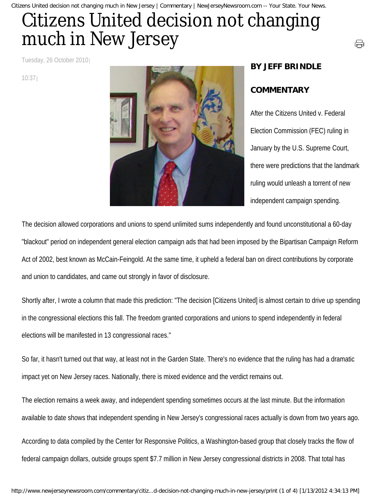Citizens United decision not changing much in New Jersey | Commentary | NewJerseyNewsroom.com -- Your State. Your News.

## Citizens United decision not changing much in New Jersey

Tuesday, 26 October 2010

10:37



## **BY JEFF BRINDLE**

## **COMMENTARY**

After the Citizens United v. Federal Election Commission (FEC) ruling in January by the U.S. Supreme Court, there were predictions that the landmark ruling would unleash a torrent of new independent campaign spending.

⊖

The decision allowed corporations and unions to spend unlimited sums independently and found unconstitutional a 60-day "blackout" period on independent general election campaign ads that had been imposed by the Bipartisan Campaign Reform Act of 2002, best known as McCain-Feingold. At the same time, it upheld a federal ban on direct contributions by corporate and union to candidates, and came out strongly in favor of disclosure.

Shortly after, I wrote a column that made this prediction: "The decision [Citizens United] is almost certain to drive up spending in the congressional elections this fall. The freedom granted corporations and unions to spend independently in federal elections will be manifested in 13 congressional races."

So far, it hasn't turned out that way, at least not in the Garden State. There's no evidence that the ruling has had a dramatic impact yet on New Jersey races. Nationally, there is mixed evidence and the verdict remains out.

The election remains a week away, and independent spending sometimes occurs at the last minute. But the information available to date shows that independent spending in New Jersey's congressional races actually is down from two years ago.

According to data compiled by the Center for Responsive Politics, a Washington-based group that closely tracks the flow of federal campaign dollars, outside groups spent \$7.7 million in New Jersey congressional districts in 2008. That total has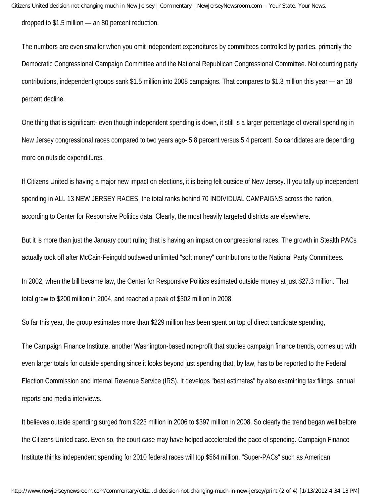dropped to \$1.5 million — an 80 percent reduction.

The numbers are even smaller when you omit independent expenditures by committees controlled by parties, primarily the Democratic Congressional Campaign Committee and the National Republican Congressional Committee. Not counting party contributions, independent groups sank \$1.5 million into 2008 campaigns. That compares to \$1.3 million this year — an 18 percent decline.

One thing that is significant- even though independent spending is down, it still is a larger percentage of overall spending in New Jersey congressional races compared to two years ago- 5.8 percent versus 5.4 percent. So candidates are depending more on outside expenditures.

If Citizens United is having a major new impact on elections, it is being felt outside of New Jersey. If you tally up independent spending in ALL 13 NEW JERSEY RACES, the total ranks behind 70 INDIVIDUAL CAMPAIGNS across the nation, according to Center for Responsive Politics data. Clearly, the most heavily targeted districts are elsewhere.

But it is more than just the January court ruling that is having an impact on congressional races. The growth in Stealth PACs actually took off after McCain-Feingold outlawed unlimited "soft money" contributions to the National Party Committees.

In 2002, when the bill became law, the Center for Responsive Politics estimated outside money at just \$27.3 million. That total grew to \$200 million in 2004, and reached a peak of \$302 million in 2008.

So far this year, the group estimates more than \$229 million has been spent on top of direct candidate spending,

The Campaign Finance Institute, another Washington-based non-profit that studies campaign finance trends, comes up with even larger totals for outside spending since it looks beyond just spending that, by law, has to be reported to the Federal Election Commission and Internal Revenue Service (IRS). It develops "best estimates" by also examining tax filings, annual reports and media interviews.

It believes outside spending surged from \$223 million in 2006 to \$397 million in 2008. So clearly the trend began well before the Citizens United case. Even so, the court case may have helped accelerated the pace of spending. Campaign Finance Institute thinks independent spending for 2010 federal races will top \$564 million. "Super-PACs" such as American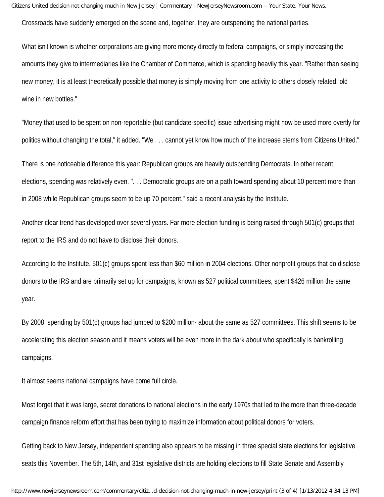Citizens United decision not changing much in New Jersey | Commentary | NewJerseyNewsroom.com -- Your State. Your News.

Crossroads have suddenly emerged on the scene and, together, they are outspending the national parties.

What isn't known is whether corporations are giving more money directly to federal campaigns, or simply increasing the amounts they give to intermediaries like the Chamber of Commerce, which is spending heavily this year. "Rather than seeing new money, it is at least theoretically possible that money is simply moving from one activity to others closely related: old wine in new bottles."

"Money that used to be spent on non-reportable (but candidate-specific) issue advertising might now be used more overtly for politics without changing the total," it added. "We . . . cannot yet know how much of the increase stems from Citizens United."

There is one noticeable difference this year: Republican groups are heavily outspending Democrats. In other recent elections, spending was relatively even. ". . . Democratic groups are on a path toward spending about 10 percent more than in 2008 while Republican groups seem to be up 70 percent," said a recent analysis by the Institute.

Another clear trend has developed over several years. Far more election funding is being raised through 501(c) groups that report to the IRS and do not have to disclose their donors.

According to the Institute, 501(c) groups spent less than \$60 million in 2004 elections. Other nonprofit groups that do disclose donors to the IRS and are primarily set up for campaigns, known as 527 political committees, spent \$426 million the same year.

By 2008, spending by 501(c) groups had jumped to \$200 million- about the same as 527 committees. This shift seems to be accelerating this election season and it means voters will be even more in the dark about who specifically is bankrolling campaigns.

It almost seems national campaigns have come full circle.

Most forget that it was large, secret donations to national elections in the early 1970s that led to the more than three-decade campaign finance reform effort that has been trying to maximize information about political donors for voters.

Getting back to New Jersey, independent spending also appears to be missing in three special state elections for legislative seats this November. The 5th, 14th, and 31st legislative districts are holding elections to fill State Senate and Assembly